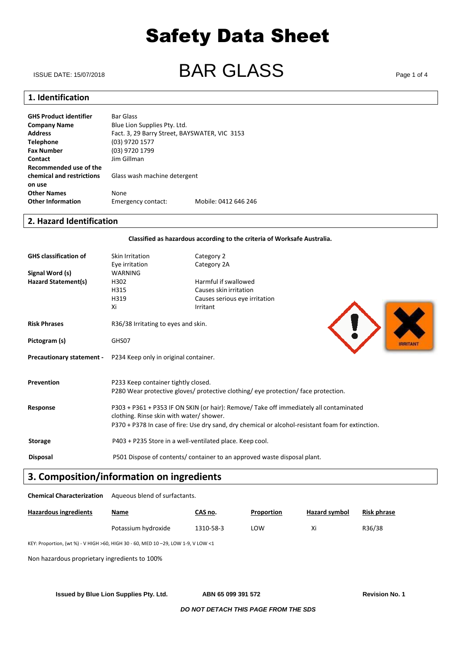# ISSUE DATE: 15/07/2018 **BAR GLASS** Page 1 of 4

### **1. Identification**

**GHS Product identifier** Bar Glass **Company Name** Blue Lion Supplies Pty. Ltd. Address<br> **Address**Fact. 3, 29 Barry Street, BAYSWATER, VIC 3153<br> **Telephone**(03) 9720 1577 **Telephone** (03) 9720 1577<br>**Fax Number** (03) 9720 1799 **Fax Number** (03) 9720 1799<br> **Contact Limes Limes 11 Contact** Jim Gillman **Recommended use of the chemical and restrictions** Glass wash machine detergent **on use Other Names** None **Other Information** Emergency contact: Mobile: 0412 646 246

#### **2. Hazard Identification**

#### **Classified as hazardous according to the criteria of Worksafe Australia.**

| <b>GHS classification of</b><br>Signal Word (s)<br><b>Hazard Statement(s)</b> | Skin Irritation<br>Eye irritation<br>WARNING<br>H302<br>H315<br>H319<br>Xi                                                                                                                                                              | Category 2<br>Category 2A<br>Harmful if swallowed<br>Causes skin irritation<br>Causes serious eye irritation<br>Irritant |
|-------------------------------------------------------------------------------|-----------------------------------------------------------------------------------------------------------------------------------------------------------------------------------------------------------------------------------------|--------------------------------------------------------------------------------------------------------------------------|
| <b>Risk Phrases</b>                                                           | R36/38 Irritating to eyes and skin.                                                                                                                                                                                                     |                                                                                                                          |
| Pictogram (s)                                                                 | GHS07                                                                                                                                                                                                                                   |                                                                                                                          |
| <b>Precautionary statement -</b>                                              | P234 Keep only in original container.                                                                                                                                                                                                   |                                                                                                                          |
| Prevention                                                                    | P233 Keep container tightly closed.<br>P280 Wear protective gloves/protective clothing/eye protection/face protection.                                                                                                                  |                                                                                                                          |
| Response                                                                      | P303 + P361 + P353 IF ON SKIN (or hair): Remove/ Take off immediately all contaminated<br>clothing. Rinse skin with water/ shower.<br>P370 + P378 In case of fire: Use dry sand, dry chemical or alcohol-resistant foam for extinction. |                                                                                                                          |
| <b>Storage</b>                                                                | P403 + P235 Store in a well-ventilated place. Keep cool.                                                                                                                                                                                |                                                                                                                          |
| <b>Disposal</b>                                                               | P501 Dispose of contents/ container to an approved waste disposal plant.                                                                                                                                                                |                                                                                                                          |

# **3. Composition/information on ingredients**

**Chemical Characterization** Aqueous blend of surfactants.

| <b>Hazardous ingredients</b> | <u>Name</u>         | CAS no.   | Proportion | Hazard symbol | <b>Risk phrase</b> |
|------------------------------|---------------------|-----------|------------|---------------|--------------------|
|                              | Potassium hydroxide | 1310-58-3 | LOW        | Χi            | R36/38             |

KEY: Proportion, (wt %) - V HIGH >60, HIGH 30 - 60, MED 10 –29, LOW 1-9, V LOW <1

Non hazardous proprietary ingredients to 100%

**Issued by Blue Lion Supplies Pty. Ltd. ABN 65 099 391 572 Revision No. 1**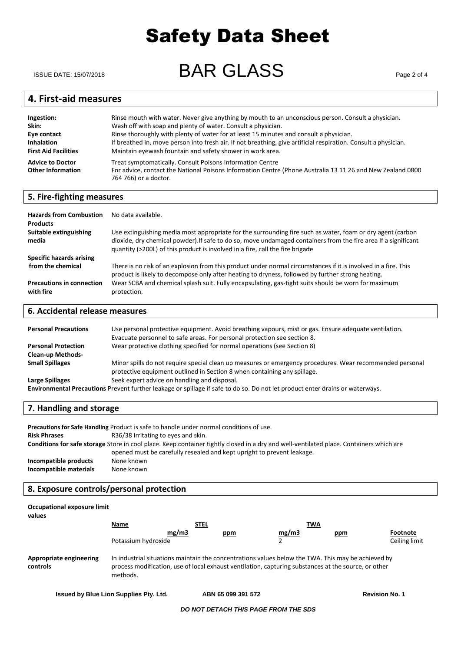ISSUE DATE: 15/07/2018 **BAR GLASS** 

# **4. First-aid measures**

| Ingestion:                                          | Rinse mouth with water. Never give anything by mouth to an unconscious person. Consult a physician.                                                                                              |
|-----------------------------------------------------|--------------------------------------------------------------------------------------------------------------------------------------------------------------------------------------------------|
| Skin:                                               | Wash off with soap and plenty of water. Consult a physician.                                                                                                                                     |
| Eye contact                                         | Rinse thoroughly with plenty of water for at least 15 minutes and consult a physician.                                                                                                           |
| <b>Inhalation</b>                                   | If breathed in, move person into fresh air. If not breathing, give artificial respiration. Consult a physician.                                                                                  |
| <b>First Aid Facilities</b>                         | Maintain eyewash fountain and safety shower in work area.                                                                                                                                        |
| <b>Advice to Doctor</b><br><b>Other Information</b> | Treat symptomatically. Consult Poisons Information Centre<br>For advice, contact the National Poisons Information Centre (Phone Australia 13 11 26 and New Zealand 0800<br>764 766) or a doctor. |

### **5. Fire-fighting measures**

| <b>Hazards from Combustion</b><br><b>Products</b> | No data available.                                                                                                                                                                                                                                                                                            |
|---------------------------------------------------|---------------------------------------------------------------------------------------------------------------------------------------------------------------------------------------------------------------------------------------------------------------------------------------------------------------|
| Suitable extinguishing<br>media                   | Use extinguishing media most appropriate for the surrounding fire such as water, foam or dry agent (carbon<br>dioxide, dry chemical powder). If safe to do so, move undamaged containers from the fire area If a significant<br>quantity (>200L) of this product is involved in a fire, call the fire brigade |
| Specific hazards arising                          |                                                                                                                                                                                                                                                                                                               |
| from the chemical                                 | There is no risk of an explosion from this product under normal circumstances if it is involved in a fire. This<br>product is likely to decompose only after heating to dryness, followed by further strong heating.                                                                                          |
| <b>Precautions in connection</b><br>with fire     | Wear SCBA and chemical splash suit. Fully encapsulating, gas-tight suits should be worn for maximum<br>protection.                                                                                                                                                                                            |

### **6. Accidental release measures**

| <b>Personal Precautions</b><br><b>Personal Protection</b>                                                                     | Use personal protective equipment. Avoid breathing vapours, mist or gas. Ensure adequate ventilation.<br>Evacuate personnel to safe areas. For personal protection see section 8.<br>Wear protective clothing specified for normal operations (see Section 8) |  |
|-------------------------------------------------------------------------------------------------------------------------------|---------------------------------------------------------------------------------------------------------------------------------------------------------------------------------------------------------------------------------------------------------------|--|
| <b>Clean-up Methods-</b>                                                                                                      |                                                                                                                                                                                                                                                               |  |
| <b>Small Spillages</b>                                                                                                        | Minor spills do not require special clean up measures or emergency procedures. Wear recommended personal<br>protective equipment outlined in Section 8 when containing any spillage.                                                                          |  |
| Large Spillages                                                                                                               | Seek expert advice on handling and disposal.                                                                                                                                                                                                                  |  |
| Environmental Precautions Prevent further leakage or spillage if safe to do so. Do not let product enter drains or waterways. |                                                                                                                                                                                                                                                               |  |

#### **7. Handling and storage**

| Precautions for Safe Handling Product is safe to handle under normal conditions of use.                                                 |                                                                        |  |
|-----------------------------------------------------------------------------------------------------------------------------------------|------------------------------------------------------------------------|--|
| <b>Risk Phrases</b>                                                                                                                     | R36/38 Irritating to eyes and skin.                                    |  |
| Conditions for safe storage Store in cool place. Keep container tightly closed in a dry and well-ventilated place. Containers which are |                                                                        |  |
|                                                                                                                                         | opened must be carefully resealed and kept upright to prevent leakage. |  |
| Incompatible products                                                                                                                   | None known                                                             |  |
| Incompatible materials                                                                                                                  | None known                                                             |  |

### **8. Exposure controls/personal protection**

| Occupational exposure limit<br>values |                     |             |                                                                                                                                                                                                            |       |     |               |
|---------------------------------------|---------------------|-------------|------------------------------------------------------------------------------------------------------------------------------------------------------------------------------------------------------------|-------|-----|---------------|
|                                       | Name                | <b>STEL</b> |                                                                                                                                                                                                            | TWA   |     |               |
|                                       |                     | mg/m3       | ppm                                                                                                                                                                                                        | mg/m3 | ppm | Footnote      |
|                                       | Potassium hydroxide |             |                                                                                                                                                                                                            |       |     | Ceiling limit |
| Appropriate engineering<br>controls   | methods.            |             | In industrial situations maintain the concentrations values below the TWA. This may be achieved by<br>process modification, use of local exhaust ventilation, capturing substances at the source, or other |       |     |               |

**Issued by Blue Lion Supplies Pty. Ltd. ABN 65 099 391 572 Revision No. 1**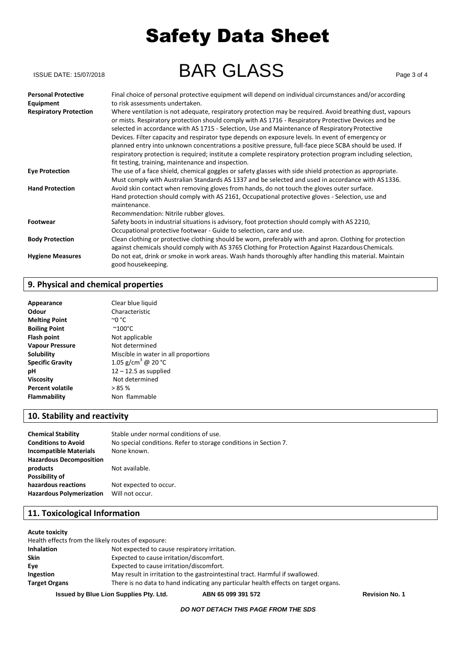| ISSUE DATE: 15/07/2018                     | <b>BAR GLASS</b>                                                                                                                                                                                                                                                                                                                                                                                                       | Page 3 of 4 |
|--------------------------------------------|------------------------------------------------------------------------------------------------------------------------------------------------------------------------------------------------------------------------------------------------------------------------------------------------------------------------------------------------------------------------------------------------------------------------|-------------|
| <b>Personal Protective</b>                 | Final choice of personal protective equipment will depend on individual circumstances and/or according<br>to risk assessments undertaken.                                                                                                                                                                                                                                                                              |             |
| Equipment<br><b>Respiratory Protection</b> | Where ventilation is not adequate, respiratory protection may be required. Avoid breathing dust, vapours<br>or mists. Respiratory protection should comply with AS 1716 - Respiratory Protective Devices and be<br>selected in accordance with AS 1715 - Selection, Use and Maintenance of Respiratory Protective<br>Devices. Filter capacity and respirator type depends on exposure levels. In event of emergency or |             |
|                                            | planned entry into unknown concentrations a positive pressure, full-face piece SCBA should be used. If<br>respiratory protection is required; institute a complete respiratory protection program including selection,<br>fit testing, training, maintenance and inspection.                                                                                                                                           |             |
| <b>Eye Protection</b>                      | The use of a face shield, chemical goggles or safety glasses with side shield protection as appropriate.<br>Must comply with Australian Standards AS 1337 and be selected and used in accordance with AS 1336.                                                                                                                                                                                                         |             |
| <b>Hand Protection</b>                     | Avoid skin contact when removing gloves from hands, do not touch the gloves outer surface.<br>Hand protection should comply with AS 2161, Occupational protective gloves - Selection, use and<br>maintenance.                                                                                                                                                                                                          |             |
| <b>Footwear</b>                            | Recommendation: Nitrile rubber gloves.<br>Safety boots in industrial situations is advisory, foot protection should comply with AS 2210,<br>Occupational protective footwear - Guide to selection, care and use.                                                                                                                                                                                                       |             |
| <b>Body Protection</b>                     | Clean clothing or protective clothing should be worn, preferably with and apron. Clothing for protection<br>against chemicals should comply with AS 3765 Clothing for Protection Against Hazardous Chemicals.                                                                                                                                                                                                          |             |
| <b>Hygiene Measures</b>                    | Do not eat, drink or smoke in work areas. Wash hands thoroughly after handling this material. Maintain<br>good housekeeping.                                                                                                                                                                                                                                                                                           |             |

### **9. Physical and chemical properties**

| Appearance              | Clear blue liquid                    |
|-------------------------|--------------------------------------|
| Odour                   | Characteristic                       |
| <b>Melting Point</b>    | $^{\circ}$ 0 $^{\circ}$ C            |
| <b>Boiling Point</b>    | $~^{\sim}$ 100 $^{\circ}$ C          |
| <b>Flash point</b>      | Not applicable                       |
| <b>Vapour Pressure</b>  | Not determined                       |
| Solubility              | Miscible in water in all proportions |
| <b>Specific Gravity</b> | 1.05 g/cm <sup>3</sup> @ 20 °C       |
| рH                      | $12 - 12.5$ as supplied              |
| <b>Viscosity</b>        | Not determined                       |
| <b>Percent volatile</b> | >85%                                 |
| Flammability            | Non flammable                        |

# **10. Stability and reactivity**

| <b>Chemical Stability</b>       | Stable under normal conditions of use.                           |
|---------------------------------|------------------------------------------------------------------|
| <b>Conditions to Avoid</b>      | No special conditions. Refer to storage conditions in Section 7. |
| <b>Incompatible Materials</b>   | None known.                                                      |
| <b>Hazardous Decomposition</b>  |                                                                  |
| products                        | Not available.                                                   |
| Possibility of                  |                                                                  |
| hazardous reactions             | Not expected to occur.                                           |
| <b>Hazardous Polymerization</b> | Will not occur.                                                  |

# **11. Toxicological Information**

#### **Acute toxicity**

|                      | Health effects from the likely routes of exposure:                                  |  |
|----------------------|-------------------------------------------------------------------------------------|--|
| <b>Inhalation</b>    | Not expected to cause respiratory irritation.                                       |  |
| <b>Skin</b>          | Expected to cause irritation/discomfort.                                            |  |
| Eve                  | Expected to cause irritation/discomfort.                                            |  |
| Ingestion            | May result in irritation to the gastrointestinal tract. Harmful if swallowed.       |  |
| <b>Target Organs</b> | There is no data to hand indicating any particular health effects on target organs. |  |
|                      |                                                                                     |  |

**Issued by Blue Lion Supplies Pty. Ltd. ABN 65 099 391 572 Revision No. 1**

#### *DO NOT DETACH THIS PAGE FROM THE SDS*